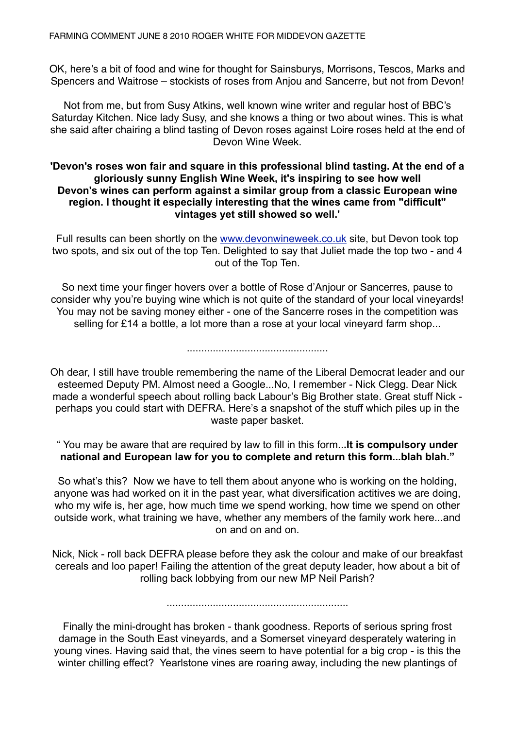OK, here's a bit of food and wine for thought for Sainsburys, Morrisons, Tescos, Marks and Spencers and Waitrose – stockists of roses from Anjou and Sancerre, but not from Devon!

Not from me, but from Susy Atkins, well known wine writer and regular host of BBC's Saturday Kitchen. Nice lady Susy, and she knows a thing or two about wines. This is what she said after chairing a blind tasting of Devon roses against Loire roses held at the end of Devon Wine Week.

## **'Devon's roses won fair and square in this professional blind tasting. At the end of a gloriously sunny English Wine Week, it's inspiring to see how well Devon's wines can perform against a similar group from a classic European wine region. I thought it especially interesting that the wines came from "difficult" vintages yet still showed so well.'**

Full results can been shortly on the [www.devonwineweek.co.uk](http://www.devonwineweek.co.uk) site, but Devon took top two spots, and six out of the top Ten. Delighted to say that Juliet made the top two - and 4 out of the Top Ten.

So next time your finger hovers over a bottle of Rose d'Anjour or Sancerres, pause to consider why you're buying wine which is not quite of the standard of your local vineyards! You may not be saving money either - one of the Sancerre roses in the competition was selling for £14 a bottle, a lot more than a rose at your local vineyard farm shop...

.................................................

Oh dear, I still have trouble remembering the name of the Liberal Democrat leader and our esteemed Deputy PM. Almost need a Google...No, I remember - Nick Clegg. Dear Nick made a wonderful speech about rolling back Labour's Big Brother state. Great stuff Nick perhaps you could start with DEFRA. Here's a snapshot of the stuff which piles up in the waste paper basket.

" You may be aware that are required by law to fill in this form..**.It is compulsory under national and European law for you to complete and return this form...blah blah."**

So what's this? Now we have to tell them about anyone who is working on the holding, anyone was had worked on it in the past year, what diversification actitives we are doing, who my wife is, her age, how much time we spend working, how time we spend on other outside work, what training we have, whether any members of the family work here...and on and on and on.

Nick, Nick - roll back DEFRA please before they ask the colour and make of our breakfast cereals and loo paper! Failing the attention of the great deputy leader, how about a bit of rolling back lobbying from our new MP Neil Parish?

...............................................................

Finally the mini-drought has broken - thank goodness. Reports of serious spring frost damage in the South East vineyards, and a Somerset vineyard desperately watering in young vines. Having said that, the vines seem to have potential for a big crop - is this the winter chilling effect? Yearlstone vines are roaring away, including the new plantings of